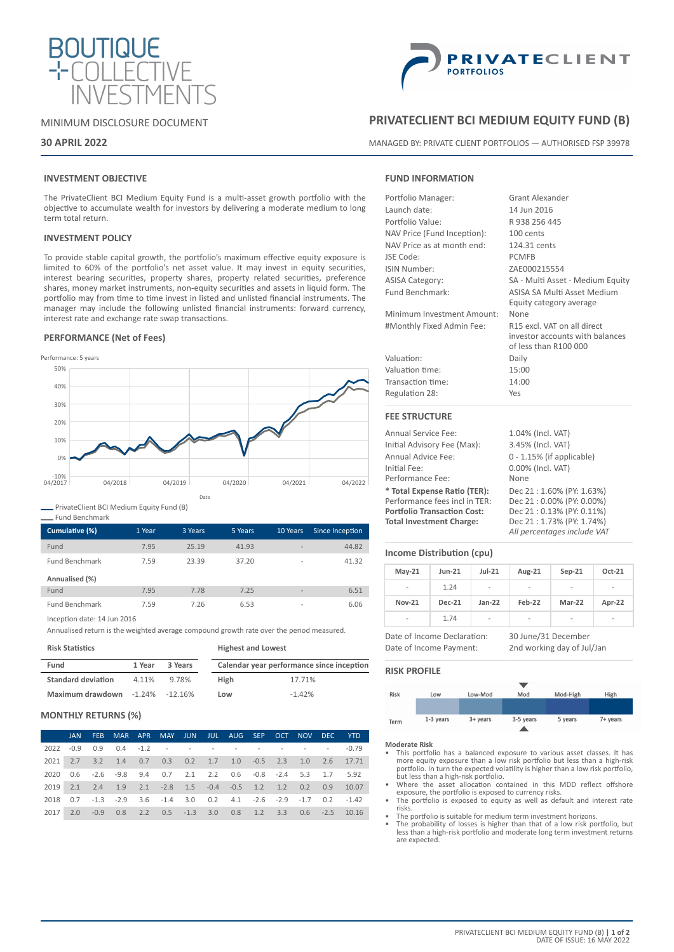

# MINIMUM DISCLOSURE DOCUMENT

# **30 APRIL 2022**



# **PRIVATECLIENT BCI MEDIUM EQUITY FUND (B)**

MANAGED BY: PRIVATE CLIENT PORTFOLIOS — AUTHORISED FSP 39978

# **INVESTMENT OBJECTIVE**

The PrivateClient BCI Medium Equity Fund is a multi-asset growth portfolio with the objective to accumulate wealth for investors by delivering a moderate medium to long term total return.

## **INVESTMENT POLICY**

To provide stable capital growth, the portfolio's maximum effective equity exposure is limited to 60% of the portfolio's net asset value. It may invest in equity securities, interest bearing securities, property shares, property related securities, preference shares, money market instruments, non-equity securities and assets in liquid form. The portfolio may from time to time invest in listed and unlisted financial instruments. The manager may include the following unlisted financial instruments: forward currency, interest rate and exchange rate swap transactions.

## **PERFORMANCE (Net of Fees)**



PrivateClient BCI Medium Equity Fund (B)

| Cumulative (%)        | 1 Year | 3 Years | 5 Years | 10 Years                 | Since Inception |
|-----------------------|--------|---------|---------|--------------------------|-----------------|
| Fund                  | 7.95   | 25.19   | 41.93   | $\overline{\phantom{a}}$ | 44.82           |
| <b>Fund Benchmark</b> | 7.59   | 23.39   | 37.20   | $\overline{\phantom{a}}$ | 41.32           |
| Annualised (%)        |        |         |         |                          |                 |
| Fund                  | 7.95   | 7.78    | 7.25    | $\overline{\phantom{a}}$ | 6.51            |
| <b>Fund Benchmark</b> | 7.59   | 7.26    | 6.53    | $\overline{\phantom{a}}$ | 6.06            |

Inception date: 14 Jun 2016

Annualised return is the weighted average compound growth rate over the period measured.

**Risk Statistics**

Fund Benchmark

| Fund<br>3 Years<br>1 Year             |       |       | Calendar year performance since inception |          |  |
|---------------------------------------|-------|-------|-------------------------------------------|----------|--|
| <b>Standard deviation</b>             | 4.11% | 9.78% | High                                      | 17.71%   |  |
| Maximum drawdown $-1.24\%$ $-12.16\%$ |       |       | Low                                       | $-1.42%$ |  |

**Highest and Lowest**

# **MONTHLY RETURNS (%)**

|      | JAN - | FEB. |                                                                                       |  |  |  |  | MAR APR MAY JUN JUL AUG SEP OCT NOV DEC YTD |
|------|-------|------|---------------------------------------------------------------------------------------|--|--|--|--|---------------------------------------------|
| 2022 |       |      |                                                                                       |  |  |  |  |                                             |
|      |       |      | 2021 2.7 3.2 1.4 0.7 0.3 0.2 1.7 1.0 -0.5 2.3 1.0 2.6 17.71                           |  |  |  |  |                                             |
| 2020 |       |      | $0.6$ $-2.6$ $-9.8$ $9.4$ $0.7$ $2.1$ $2.2$ $0.6$ $-0.8$ $-2.4$ $5.3$ $1.7$ $5.92$    |  |  |  |  |                                             |
|      |       |      | 2019 2.1 2.4 1.9 2.1 -2.8 1.5 -0.4 -0.5 1.2 1.2 0.2 0.9 10.07                         |  |  |  |  |                                             |
| 2018 |       |      | $0.7$ $-1.3$ $-2.9$ $3.6$ $-1.4$ $3.0$ $0.2$ $4.1$ $-2.6$ $-2.9$ $-1.7$ $0.2$ $-1.42$ |  |  |  |  |                                             |
| 2017 |       |      | 2.0 -0.9 0.8 2.2 0.5 -1.3 3.0 0.8 1.2 3.3 0.6 -2.5 10.16                              |  |  |  |  |                                             |

# **FUND INFORMATION**

| Portfolio Manager:          | <b>Grant Alexander</b>           |
|-----------------------------|----------------------------------|
| Launch date:                | 14 Jun 2016                      |
| Portfolio Value:            | R 938 256 445                    |
| NAV Price (Fund Inception): | 100 cents                        |
| NAV Price as at month end:  | 124.31 cents                     |
| JSE Code:                   | <b>PCMFB</b>                     |
| <b>ISIN Number:</b>         | ZAE000215554                     |
| <b>ASISA Category:</b>      | SA - Multi Asset - Medium Equity |
| Fund Benchmark:             | ASISA SA Multi Asset Medium      |
|                             | Equity category average          |
| Minimum Investment Amount:  | None                             |
| #Monthly Fixed Admin Fee:   | R15 excl. VAT on all direct      |
|                             | investor accounts with balances  |
|                             | of less than R100 000            |
| Valuation:                  | Daily                            |
| Valuation time:             | 15:00                            |
| Transaction time:           | 14:00                            |
| Regulation 28:              | Yes                              |
| <b>FEE STRUCTURE</b>        |                                  |
| Annual Service Fee:         | 1.04% (Incl. VAT)                |
|                             |                                  |

Initial Advisory Fee (Max): 3.45% (Incl. VAT) Annual Advice Fee: 0 - 1.15% (if applicable) Initial Fee: 0.00% (Incl. VAT) Performance Fee: None **\* Total Expense Ratio (TER):** Dec 21 : 1.60% (PY: 1.63%) Performance fees incl in TER: Dec 21 : 0.00% (PY: 0.00%)<br> **Portfolio Transaction Cost:** Dec 21 : 0.13% (PY: 0.11%) **Portfolio Transaction Cost: Total Investment Charge:** Dec 21 : 1.73% (PY: 1.74%) *All percentages include VAT*

# **Income Distribution (cpu)**

| $May-21$                 | $Jun-21$      | $Jul-21$                 | Aug-21 | $Sep-21$ | Oct-21 |
|--------------------------|---------------|--------------------------|--------|----------|--------|
| $\overline{\phantom{a}}$ | 1.24          | $\overline{\phantom{a}}$ | -      | ٠        | -      |
| <b>Nov-21</b>            | <b>Dec-21</b> | $Jan-22$                 | Feb-22 | Mar-22   | Apr-22 |
| -                        | 1.74          | ٠                        | ۰      | ٠        | ۰      |

Date of Income Payment: 2nd working day of Jul/Jan

Date of Income Declaration: 30 June/31 December

# **RISK PROFILE**



- **Moderate Risk** This portfolio has a balanced exposure to various asset classes. It has more equity exposure than a low risk portfolio but less than a high-risk portfolio. In turn the expected volatility is higher than a low risk portfolio, but less than a high-risk portfolio. • Where the asset allocation contained in this MDD reflect offshore
- exposure, the portfolio is exposed to currency risks. The portfolio is exposed to equity as well as default and interest rate
- risks.
- The portfolio is suitable for medium term investment horizons.
- The probability of losses is higher than that of a low risk portfolio, but less than a high-risk portfolio and moderate long term investment returns are expected.